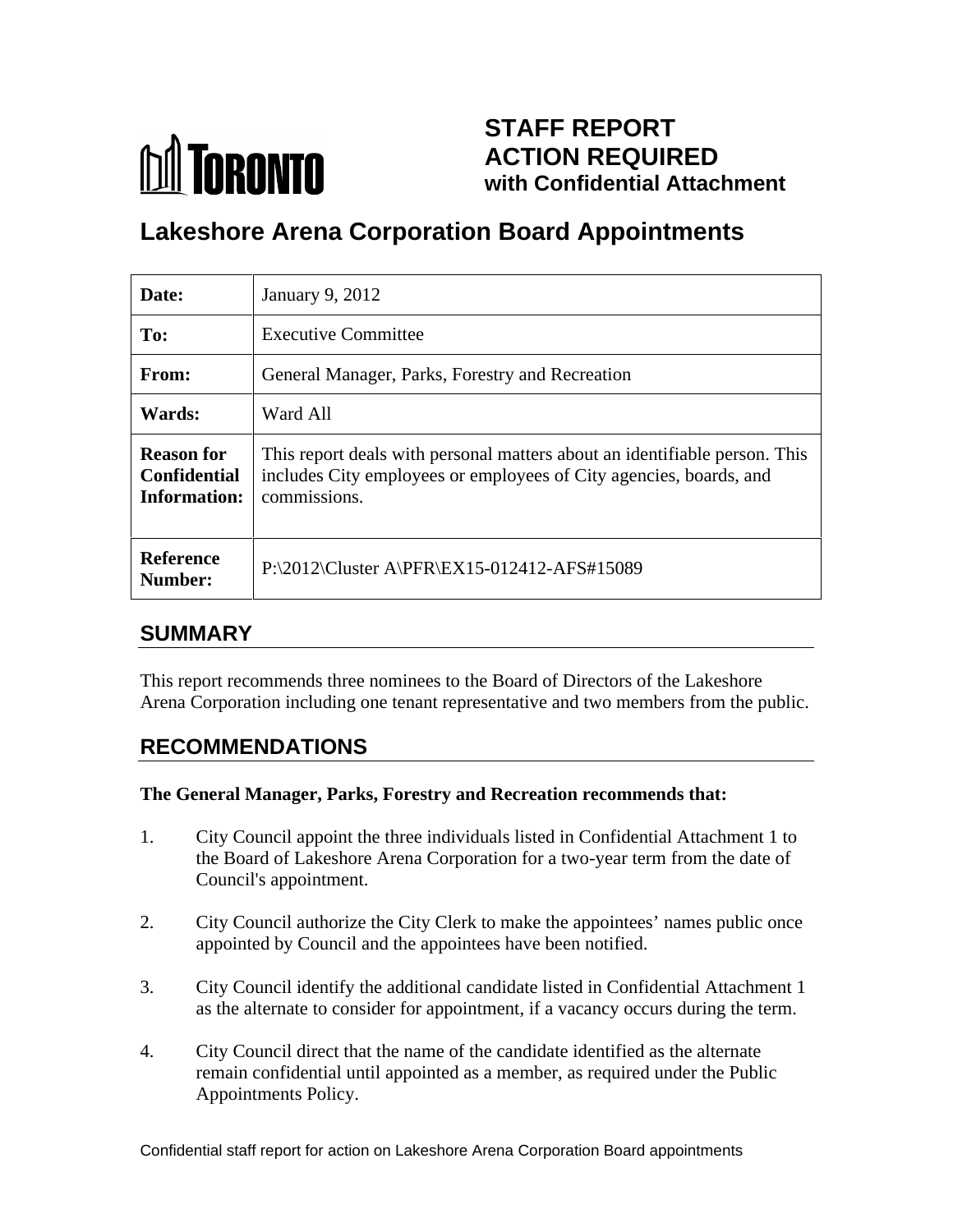# **M** TORONTO

## **STAFF REPORT ACTION REQUIRED with Confidential Attachment**

## **Lakeshore Arena Corporation Board Appointments**

| Date:                                                    | January 9, 2012                                                                                                                                                  |
|----------------------------------------------------------|------------------------------------------------------------------------------------------------------------------------------------------------------------------|
| To:                                                      | <b>Executive Committee</b>                                                                                                                                       |
| From:                                                    | General Manager, Parks, Forestry and Recreation                                                                                                                  |
| <b>Wards:</b>                                            | Ward All                                                                                                                                                         |
| <b>Reason for</b><br>Confidential<br><b>Information:</b> | This report deals with personal matters about an identifiable person. This<br>includes City employees or employees of City agencies, boards, and<br>commissions. |
| Reference<br>Number:                                     | P:\2012\Cluster A\PFR\EX15-012412-AFS#15089                                                                                                                      |

#### **SUMMARY**

This report recommends three nominees to the Board of Directors of the Lakeshore Arena Corporation including one tenant representative and two members from the public.

## **RECOMMENDATIONS**

#### **The General Manager, Parks, Forestry and Recreation recommends that:**

- 1. City Council appoint the three individuals listed in Confidential Attachment 1 to the Board of Lakeshore Arena Corporation for a two-year term from the date of Council's appointment.
- 2. City Council authorize the City Clerk to make the appointees' names public once appointed by Council and the appointees have been notified.
- 3. City Council identify the additional candidate listed in Confidential Attachment 1 as the alternate to consider for appointment, if a vacancy occurs during the term.
- 4. City Council direct that the name of the candidate identified as the alternate remain confidential until appointed as a member, as required under the Public Appointments Policy.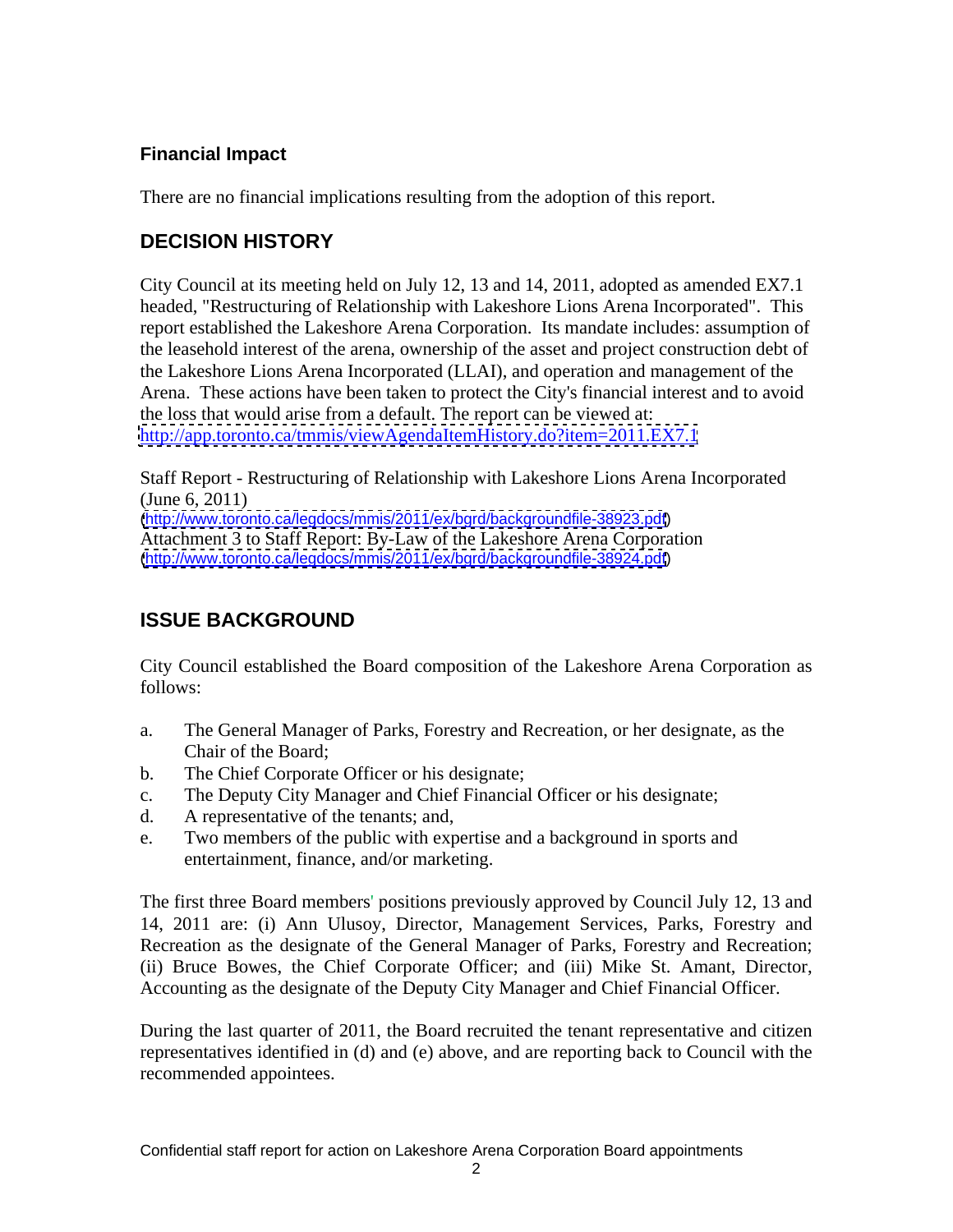#### **Financial Impact**

There are no financial implications resulting from the adoption of this report.

#### **DECISION HISTORY**

City Council at its meeting held on July 12, 13 and 14, 2011, adopted as amended EX7.1 headed, "Restructuring of Relationship with Lakeshore Lions Arena Incorporated". This report established the Lakeshore Arena Corporation. Its mandate includes: assumption of the leasehold interest of the arena, ownership of the asset and project construction debt of the Lakeshore Lions Arena Incorporated (LLAI), and operation and management of the Arena. These actions have been taken to protect the City's financial interest and to avoid the loss that would arise from a default. The report can be viewed at: <http://app.toronto.ca/tmmis/viewAgendaItemHistory.do?item=2011.EX7.1>

Staff Report - Restructuring of Relationship with Lakeshore Lions Arena Incorporated (June 6, 2011) [\(http://www.toronto.ca/legdocs/mmis/2011/ex/bgrd/backgroundfile-38923.pdf](http://www.toronto.ca/legdocs/mmis/2011/ex/bgrd/backgroundfile-38923.pdf)) Attachment 3 to Staff Report: By-Law of the Lakeshore Arena Corporation [\(http://www.toronto.ca/legdocs/mmis/2011/ex/bgrd/backgroundfile-38924.pdf](http://www.toronto.ca/legdocs/mmis/2011/ex/bgrd/backgroundfile-38924.pdf))

## **ISSUE BACKGROUND**

City Council established the Board composition of the Lakeshore Arena Corporation as follows:

- a. The General Manager of Parks, Forestry and Recreation, or her designate, as the Chair of the Board;
- b. The Chief Corporate Officer or his designate;
- c. The Deputy City Manager and Chief Financial Officer or his designate;
- d. A representative of the tenants; and,
- e. Two members of the public with expertise and a background in sports and entertainment, finance, and/or marketing.

The first three Board members' positions previously approved by Council July 12, 13 and 14, 2011 are: (i) Ann Ulusoy, Director, Management Services, Parks, Forestry and Recreation as the designate of the General Manager of Parks, Forestry and Recreation; (ii) Bruce Bowes, the Chief Corporate Officer; and (iii) Mike St. Amant, Director,

Accounting as the designate of the Deputy City Manager and Chief Financial Officer.<br>During the last quarter of 2011, the Board recruited the tenant representative and citizen representatives identified in (d) and (e) above, and are reporting back to Council with the recommended appointees.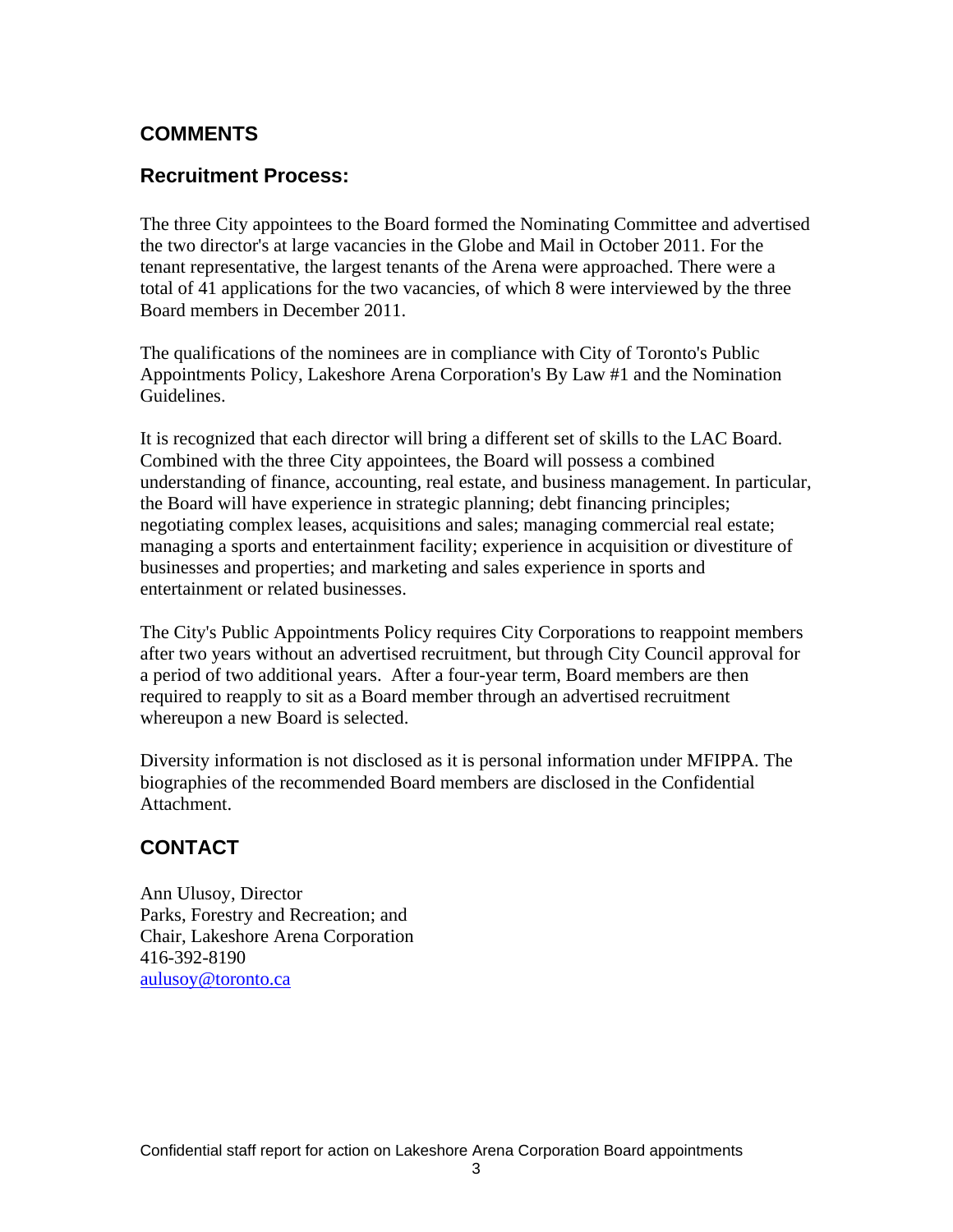#### **COMMENTS**

#### **Recruitment Process:**

The three City appointees to the Board formed the Nominating Committee and advertised the two director's at large vacancies in the Globe and Mail in October 2011. For the tenant representative, the largest tenants of the Arena were approached. There were a total of 41 applications for the two vacancies, of which 8 were interviewed by the three Board members in December 2011.

The qualifications of the nominees are in compliance with City of Toronto's Public Appointments Policy, Lakeshore Arena Corporation's By Law #1 and the Nomination Guidelines.

It is recognized that each director will bring a different set of skills to the LAC Board. Combined with the three City appointees, the Board will possess a combined understanding of finance, accounting, real estate, and business management. In particular, the Board will have experience in strategic planning; debt financing principles; negotiating complex leases, acquisitions and sales; managing commercial real estate; managing a sports and entertainment facility; experience in acquisition or divestiture of businesses and properties; and marketing and sales experience in sports and entertainment or related businesses.

The City's Public Appointments Policy requires City Corporations to reappoint members after two years without an advertised recruitment, but through City Council approval for a period of two additional years. After a four-year term, Board members are then required to reapply to sit as a Board member through an advertised recruitment whereupon a new Board is selected.

Diversity information is not disclosed as it is personal information under MFIPPA. The biographies of the recommended Board members are disclosed in the Confidential Attachment.

#### **CONTACT**

Ann Ulusoy, Director Parks, Forestry and Recreation; and Chair, Lakeshore Arena Corporation 416-392-8190 aulusoy@toronto.ca